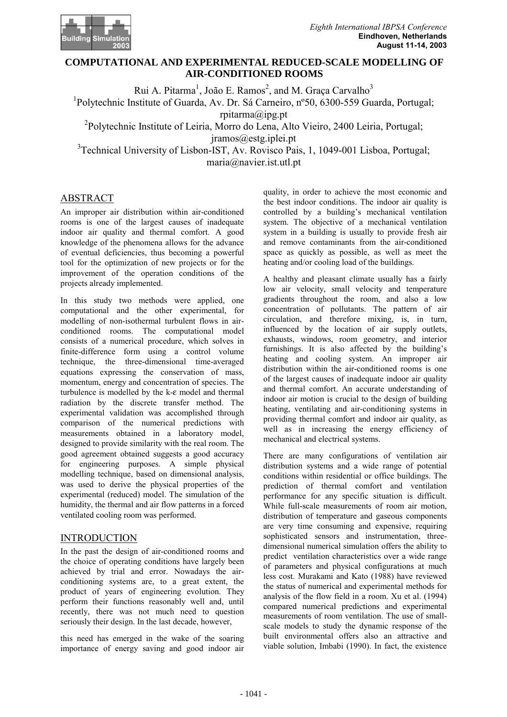

# **Computational and Experimental Reduced-Scale Modelling of Air-Conditioned Rooms COMPUTATIONAL AND EXPERIMENTAL REDUCED-SCALE MODELLING OF AIR-CONDITIONED ROOMS**

Rui A. Pitarma<sup>1</sup>, João E. Ramos<sup>2</sup>, and M. Graça Carvalho<sup>3</sup> <sup>1</sup>Polytechnic Institute of Guarda, Av. Dr. Sá Carneiro, n°50, 6300-559 Guarda, Portugal; rpitarma@ipg.pt 2 Polytechnic Institute of Leiria, Morro do Lena, Alto Vieiro, 2400 Leiria, Portugal; jramos@estg.iplei.pt <sup>3</sup>Technical University of Lisbon-IST, Av. Rovisco Pais, 1, 1049-001 Lisboa, Portugal; maria@navier.ist.utl.pt

# ABSTRACT

An improper air distribution within air-conditioned rooms is one of the largest causes of inadequate indoor air quality and thermal comfort. A good knowledge of the phenomena allows for the advance of eventual deficiencies, thus becoming a powerful tool for the optimization of new projects or for the improvement of the operation conditions of the projects already implemented.

In this study two methods were applied, one computational and the other experimental, for modelling of non-isothermal turbulent flows in airconditioned rooms. The computational model consists of a numerical procedure, which solves in finite-difference form using a control volume technique, the three-dimensional time-averaged equations expressing the conservation of mass, momentum, energy and concentration of species. The turbulence is modelled by the k-ε model and thermal radiation by the discrete transfer method. The experimental validation was accomplished through comparison of the numerical predictions with measurements obtained in a laboratory model, designed to provide similarity with the real room. The good agreement obtained suggests a good accuracy for engineering purposes. A simple physical modelling technique, based on dimensional analysis, was used to derive the physical properties of the experimental (reduced) model. The simulation of the humidity, the thermal and air flow patterns in a forced ventilated cooling room was performed.

# **INTRODUCTION**

In the past the design of air-conditioned rooms and the choice of operating conditions have largely been achieved by trial and error. Nowadays the airconditioning systems are, to a great extent, the product of years of engineering evolution. They perform their functions reasonably well and, until recently, there was not much need to question seriously their design. In the last decade, however,

this need has emerged in the wake of the soaring importance of energy saving and good indoor air quality, in order to achieve the most economic and the best indoor conditions. The indoor air quality is controlled by a building's mechanical ventilation system. The objective of a mechanical ventilation system in a building is usually to provide fresh air and remove contaminants from the air-conditioned space as quickly as possible, as well as meet the heating and/or cooling load of the buildings.

A healthy and pleasant climate usually has a fairly low air velocity, small velocity and temperature gradients throughout the room, and also a low concentration of pollutants. The pattern of air circulation, and therefore mixing, is, in turn, influenced by the location of air supply outlets, exhausts, windows, room geometry, and interior furnishings. It is also affected by the building's heating and cooling system. An improper air distribution within the air-conditioned rooms is one of the largest causes of inadequate indoor air quality and thermal comfort. An accurate understanding of indoor air motion is crucial to the design of building heating, ventilating and air-conditioning systems in providing thermal comfort and indoor air quality, as well as in increasing the energy efficiency of mechanical and electrical systems.

There are many configurations of ventilation air distribution systems and a wide range of potential conditions within residential or office buildings. The prediction of thermal comfort and ventilation performance for any specific situation is difficult. While full-scale measurements of room air motion, distribution of temperature and gaseous components are very time consuming and expensive, requiring sophisticated sensors and instrumentation, threedimensional numerical simulation offers the ability to predict ventilation characteristics over a wide range of parameters and physical configurations at much less cost. Murakami and Kato (1988) have reviewed the status of numerical and experimental methods for analysis of the flow field in a room. Xu et al. (1994) compared numerical predictions and experimental measurements of room ventilation. The use of smallscale models to study the dynamic response of the built environmental offers also an attractive and viable solution, Imbabi (1990). In fact, the existence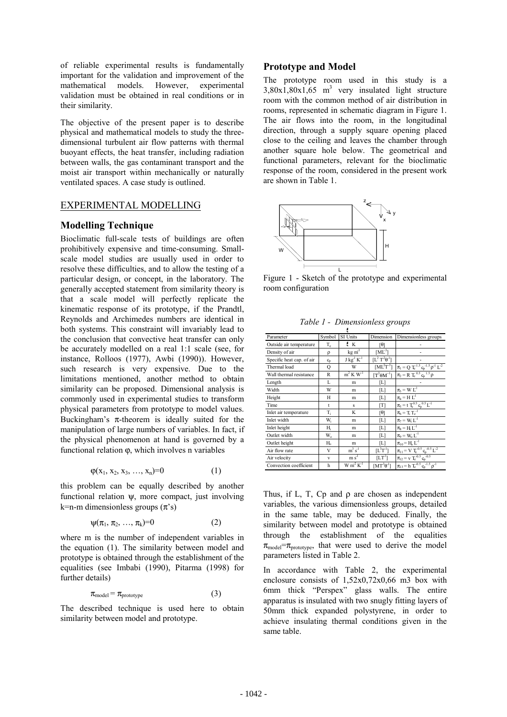of reliable experimental results is fundamentally important for the validation and improvement of the mathematical models. However, experimental validation must be obtained in real conditions or in their similarity.

The objective of the present paper is to describe physical and mathematical models to study the threedimensional turbulent air flow patterns with thermal buoyant effects, the heat transfer, including radiation between walls, the gas contaminant transport and the moist air transport within mechanically or naturally ventilated spaces. A case study is outlined.

# EXPERIMENTAL MODELLING

### **Modelling Technique**

Bioclimatic full-scale tests of buildings are often prohibitively expensive and time-consuming. Smallscale model studies are usually used in order to resolve these difficulties, and to allow the testing of a particular design, or concept, in the laboratory. The generally accepted statement from similarity theory is that a scale model will perfectly replicate the kinematic response of its prototype, if the Prandtl, Reynolds and Archimedes numbers are identical in both systems. This constraint will invariably lead to the conclusion that convective heat transfer can only be accurately modelled on a real 1:1 scale (see, for instance, Rolloos (1977), Awbi (1990)). However, such research is very expensive. Due to the limitations mentioned, another method to obtain similarity can be proposed. Dimensional analysis is commonly used in experimental studies to transform physical parameters from prototype to model values. Buckingham's  $\pi$ -theorem is ideally suited for the manipulation of large numbers of variables. In fact, if the physical phenomenon at hand is governed by a functional relation ϕ, which involves n variables

$$
\varphi(x_1, x_2, x_3, \ldots, x_n) = 0 \tag{1}
$$

this problem can be equally described by another functional relation  $\psi$ , more compact, just involving k=n-m dimensionless groups  $(\pi's)$ 

$$
\psi(\pi_1, \pi_2, ..., \pi_k)=0 \tag{2}
$$

where m is the number of independent variables in the equation (1). The similarity between model and prototype is obtained through the establishment of the equalities (see Imbabi (1990), Pitarma (1998) for further details)

$$
\pi_{\text{model}} = \pi_{\text{prototype}} \tag{3}
$$

The described technique is used here to obtain similarity between model and prototype.

#### **Prototype and Model**

The prototype room used in this study is a  $3,80x1,80x1,65$  m<sup>3</sup> very insulated light structure room with the common method of air distribution in rooms, represented in schematic diagram in Figure 1. The air flows into the room, in the longitudinal direction, through a supply square opening placed close to the ceiling and leaves the chamber through another square hole below. The geometrical and functional parameters, relevant for the bioclimatic response of the room, considered in the present work are shown in Table 1.



Figure 1 - Sketch of the prototype and experimental room configuration

| ŧ                         |              |                       |                       |                                                                                                                            |  |  |
|---------------------------|--------------|-----------------------|-----------------------|----------------------------------------------------------------------------------------------------------------------------|--|--|
| Parameter                 | Symbol       | SI Units              | Dimension             | Dimensionless groups                                                                                                       |  |  |
| Outside air temperature   | T.           | ŧк                    | Γθ1                   |                                                                                                                            |  |  |
| Density of air            | ρ            | kg m <sup>3</sup>     | $\lceil ML^3 \rceil$  |                                                                                                                            |  |  |
| Specific heat cap. of air | $c_{p}$      | $J$ $kg-1 K-1$        | $[L^2T^2\theta^1]$    |                                                                                                                            |  |  |
| Thermal load              | Q            | W                     | $[ML^2T^{-3}]$        | $\pi_l = Q~T_e^{-1.5}~c_p^{-1.5}~\rho^{-1}~L^{-2}$                                                                         |  |  |
| Wall thermal resistance   | R            | $m^2$ K $W^{-1}$      | $[T^3 \theta M^{-1}]$ | $\pi_2 = R T_e^{0.5} c_n^{1.5} \rho$                                                                                       |  |  |
| Length                    | L            | m                     | ſЫ                    |                                                                                                                            |  |  |
| Width                     | W            | m                     | ſЫ                    | $\pi_3 = W L^1$                                                                                                            |  |  |
| Height                    | Н            | m                     | [L]                   | $\pi_4 = H L^1$                                                                                                            |  |  |
| Time                      | t            | S                     | [T]                   | $\pi_5=t~T_c^{0.5}~c_p^{~0.5}~L^{-1}$                                                                                      |  |  |
| Inlet air temperature     | T,           | K                     | [θ]                   | $\pi_6 = T_i T_c^{-1}$                                                                                                     |  |  |
| Inlet width               | Wi           | m                     | [L]                   | $\pi_7 = W_i L^{-1}$                                                                                                       |  |  |
| Inlet height              | H,           | m                     | [L]                   | $\pi_{8}$ = H $L^{-1}$                                                                                                     |  |  |
| Outlet width              | W.           | m                     | [L]                   | $\pi_{\scriptscriptstyle{Q}} = W_{\scriptscriptstyle{\Omega}} L^{-1}$                                                      |  |  |
| Outlet height             | $H_{\alpha}$ | m                     | [L]                   | $\pi_{10} = H_0 L^{-1}$                                                                                                    |  |  |
| Air flow rate             | V            | $m^3$ s <sup>-1</sup> | $[L^3T^1]$            |                                                                                                                            |  |  |
| Air velocity              | $\mathbf{V}$ | m s <sup>1</sup>      | $[LT^1]$              | $\begin{split} &\pi_{11} \!= V \,T_e^{-0.5} \,c_p^{-0.5} \,L^2 \over \pi_{12} \!= v \,T_e^{-0.5} \,c_p^{-0.5} \end{split}$ |  |  |
| Convection coefficient    | h            | $W m2 K-1$            | $[MT^3\theta^1]$      | $\pi_{13}$ = h T <sub>c</sub> <sup>-0.5</sup> C <sub>n</sub> <sup>-1.5</sup> $\rho^{-1}$                                   |  |  |

Thus, if L, T, Cp and  $\rho$  are chosen as independent variables, the various dimensionless groups, detailed in the same table, may be deduced. Finally, the similarity between model and prototype is obtained through the establishment of the equalities  $\pi_{\text{model}} = \pi_{\text{protocol}}$ , that were used to derive the model parameters listed in Table 2.

In accordance with Table 2, the experimental enclosure consists of 1,52x0,72x0,66 m3 box with 6mm thick "Perspex" glass walls. The entire apparatus is insulated with two snugly fitting layers of 50mm thick expanded polystyrene, in order to achieve insulating thermal conditions given in the same table.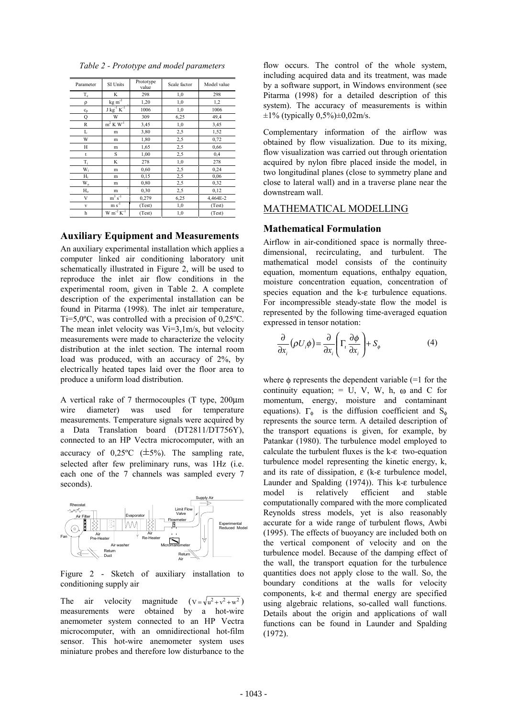| Parameter      | SI Units                     | Prototype<br>value | Scale factor | Model value |
|----------------|------------------------------|--------------------|--------------|-------------|
| $\rm T_c$      | K                            | 298                | 1,0          | 298         |
| ρ              | $\text{kg m}^3$              | 1,20               | 1,0          | 1,2         |
| $c_p$          | $J kg^{-1} K^{-1}$           | 1006               | 1,0          | 1006        |
| Q              | W                            | 309                | 6,25         | 49,4        |
| R              | $m^2 K W^1$                  | 3,45               | 1,0          | 3,45        |
| L              | m                            | 3,80               | 2,5          | 1,52        |
| W              | m                            | 1,80               | 2,5          | 0,72        |
| Н              | m                            | 1,65               | 2,5          | 0,66        |
| t              | S                            | 1,00               | 2,5          | 0,4         |
| $T_i$          | K                            | 278                | 1,0          | 278         |
| W <sub>i</sub> | m                            | 0,60               | 2,5          | 0,24        |
| $H_i$          | m                            | 0,15               | 2,5          | 0,06        |
| W.             | m                            | 0,80               | 2,5          | 0,32        |
| $H_{o}$        | m                            | 0,30               | 2,5          | 0,12        |
| V              | $m^3 s^{-1}$                 | 0,279              | 6,25         | 4,464E-2    |
| v              | $\mathbf{m}$ s <sup>-1</sup> | (Test)             | 1,0          | (Test)      |
| h              | $W m^{-2} K^{-1}$            | (Test)             | 1,0          | (Test)      |

*Table 2 - Prototype and model parameters* 

#### **Auxiliary Equipment and Measurements**

An auxiliary experimental installation which applies a computer linked air conditioning laboratory unit schematically illustrated in Figure 2, will be used to reproduce the inlet air flow conditions in the experimental room, given in Table 2. A complete description of the experimental installation can be found in Pitarma (1998). The inlet air temperature, Ti=5,0ºC, was controlled with a precision of 0,25ºC. The mean inlet velocity was Vi=3,1m/s, but velocity measurements were made to characterize the velocity distribution at the inlet section. The internal room load was produced, with an accuracy of 2%, by electrically heated tapes laid over the floor area to produce a uniform load distribution.

A vertical rake of 7 thermocouples (T type, 200µm wire diameter) was used for temperature measurements. Temperature signals were acquired by a Data Translation board (DT2811/DT756Y), connected to an HP Vectra microcomputer, with an accuracy of  $0.25^{\circ}C$  ( $\pm 5\%$ ). The sampling rate, selected after few preliminary runs, was 1Hz (i.e. each one of the 7 channels was sampled every 7 seconds).



Figure 2 - Sketch of auxiliary installation to conditioning supply air

The air velocity magnitude  $(v = \sqrt{u^2 + v^2 + w^2})$ measurements were obtained by a hot-wire anemometer system connected to an HP Vectra microcomputer, with an omnidirectional hot-film sensor. This hot-wire anemometer system uses miniature probes and therefore low disturbance to the

flow occurs. The control of the whole system, including acquired data and its treatment, was made by a software support, in Windows environment (see Pitarma (1998) for a detailed description of this system). The accuracy of measurements is within  $\pm 1\%$  (typically 0,5%) $\pm 0.02$  m/s.

Complementary information of the airflow was obtained by flow visualization. Due to its mixing, flow visualization was carried out through orientation acquired by nylon fibre placed inside the model, in two longitudinal planes (close to symmetry plane and close to lateral wall) and in a traverse plane near the downstream wall.

## MATHEMATICAL MODELLING

#### **Mathematical Formulation**

Airflow in air-conditioned space is normally threedimensional, recirculating, and turbulent. The mathematical model consists of the continuity equation, momentum equations, enthalpy equation, moisture concentration equation, concentration of species equation and the k-ε turbulence equations. For incompressible steady-state flow the model is represented by the following time-averaged equation expressed in tensor notation:

$$
\frac{\partial}{\partial x_i}(\rho U_i \phi) = \frac{\partial}{\partial x_i} \left( \Gamma_i \frac{\partial \phi}{\partial x_i} \right) + S_{\phi}
$$
 (4)

where  $\phi$  represents the dependent variable (=1 for the continuity equation;  $= U, V, W, h, \omega$  and C for momentum, energy, moisture and contaminant equations).  $\Gamma_{\phi}$  is the diffusion coefficient and S<sub>φ</sub> represents the source term. A detailed description of the transport equations is given, for example, by Patankar (1980). The turbulence model employed to calculate the turbulent fluxes is the k-ε two-equation turbulence model representing the kinetic energy, k, and its rate of dissipation, ε (k-ε turbulence model, Launder and Spalding (1974)). This k-ε turbulence model is relatively efficient and stable computationally compared with the more complicated Reynolds stress models, yet is also reasonably accurate for a wide range of turbulent flows, Awbi (1995). The effects of buoyancy are included both on the vertical component of velocity and on the turbulence model. Because of the damping effect of the wall, the transport equation for the turbulence quantities does not apply close to the wall. So, the boundary conditions at the walls for velocity components, k-ε and thermal energy are specified using algebraic relations, so-called wall functions. Details about the origin and applications of wall functions can be found in Launder and Spalding (1972).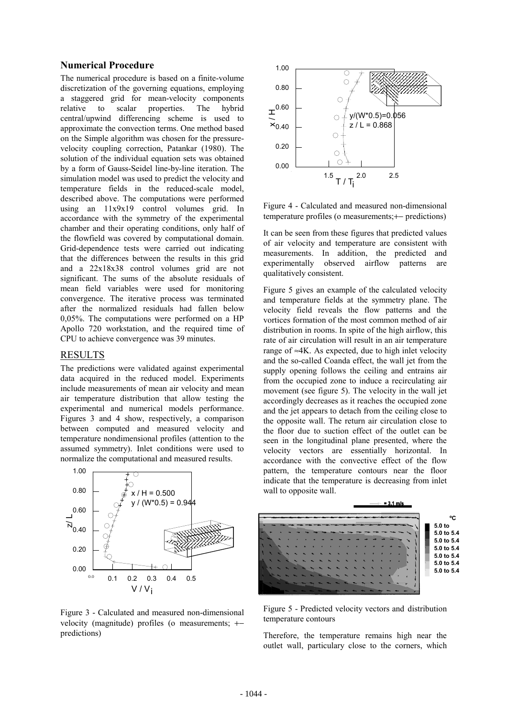## **Numerical Procedure**

The numerical procedure is based on a finite-volume discretization of the governing equations, employing a staggered grid for mean-velocity components relative to scalar properties. The hybrid central/upwind differencing scheme is used to approximate the convection terms. One method based on the Simple algorithm was chosen for the pressurevelocity coupling correction, Patankar (1980). The solution of the individual equation sets was obtained by a form of Gauss-Seidel line-by-line iteration. The simulation model was used to predict the velocity and temperature fields in the reduced-scale model, described above. The computations were performed using an 11x9x19 control volumes grid. In accordance with the symmetry of the experimental chamber and their operating conditions, only half of the flowfield was covered by computational domain. Grid-dependence tests were carried out indicating that the differences between the results in this grid and a 22x18x38 control volumes grid are not significant. The sums of the absolute residuals of mean field variables were used for monitoring convergence. The iterative process was terminated after the normalized residuals had fallen below 0,05%. The computations were performed on a HP Apollo 720 workstation, and the required time of CPU to achieve convergence was 39 minutes.

## RESULTS

The predictions were validated against experimental data acquired in the reduced model. Experiments include measurements of mean air velocity and mean air temperature distribution that allow testing the experimental and numerical models performance. Figures 3 and 4 show, respectively, a comparison between computed and measured velocity and temperature nondimensional profiles (attention to the assumed symmetry). Inlet conditions were used to normalize the computational and measured results.



Figure 3 - Calculated and measured non-dimensional velocity (magnitude) profiles (o measurements; +− predictions)



Figure 4 - Calculated and measured non-dimensional temperature profiles (o measurements;+− predictions)

It can be seen from these figures that predicted values of air velocity and temperature are consistent with measurements. In addition, the predicted and experimentally observed airflow patterns are qualitatively consistent.

Figure 5 gives an example of the calculated velocity and temperature fields at the symmetry plane. The velocity field reveals the flow patterns and the vortices formation of the most common method of air distribution in rooms. In spite of the high airflow, this rate of air circulation will result in an air temperature range of  $\approx$ 4K. As expected, due to high inlet velocity and the so-called Coanda effect, the wall jet from the supply opening follows the ceiling and entrains air from the occupied zone to induce a recirculating air movement (see figure 5). The velocity in the wall jet accordingly decreases as it reaches the occupied zone and the jet appears to detach from the ceiling close to the opposite wall. The return air circulation close to the floor due to suction effect of the outlet can be seen in the longitudinal plane presented, where the velocity vectors are essentially horizontal. In accordance with the convective effect of the flow pattern, the temperature contours near the floor indicate that the temperature is decreasing from inlet wall to opposite wall.



Figure 5 - Predicted velocity vectors and distribution temperature contours

Therefore, the temperature remains high near the outlet wall, particulary close to the corners, which